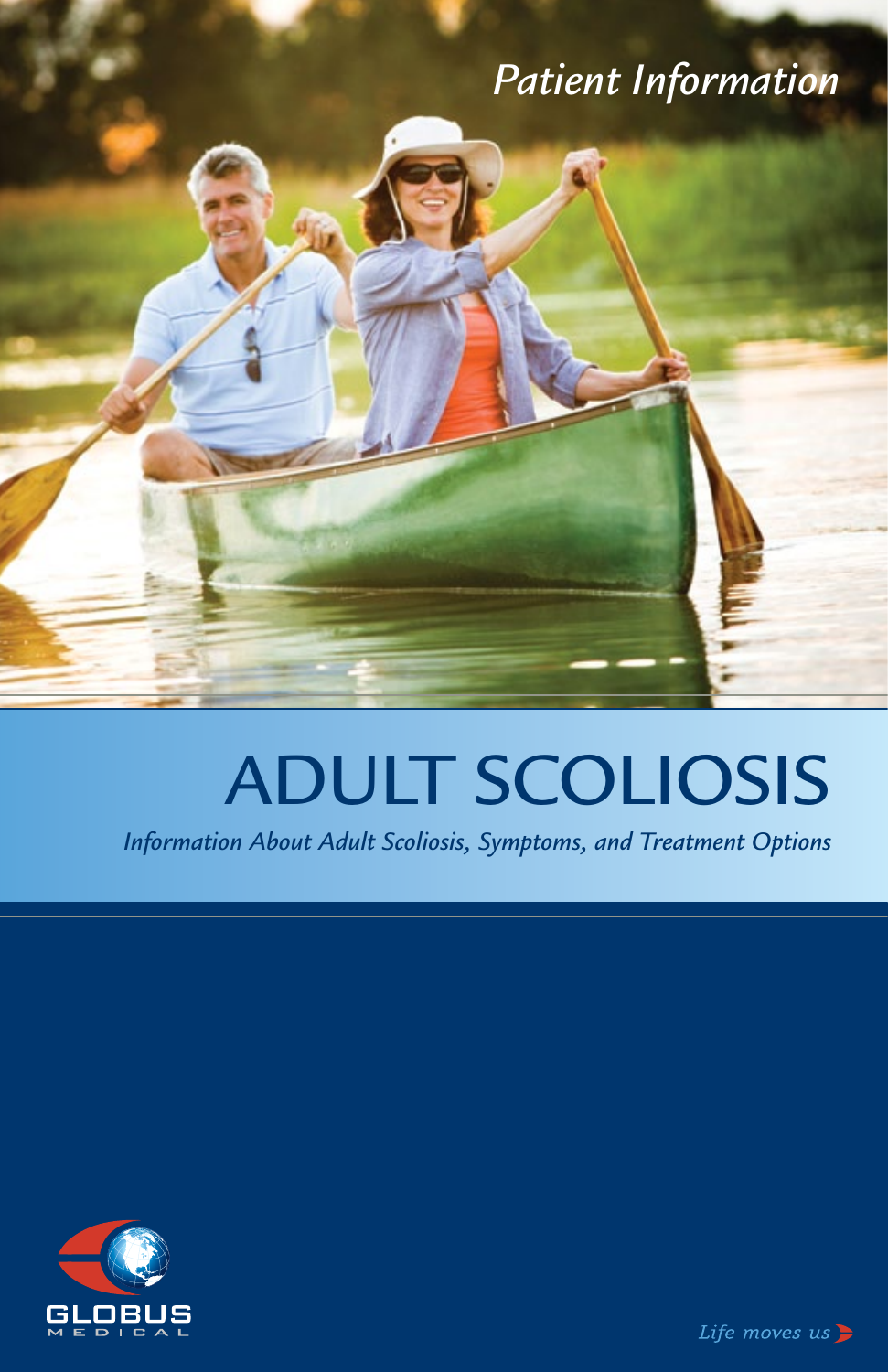## *Patient Information*

# ADULT SCOLIOSIS

*Information About Adult Scoliosis, Symptoms, and Treatment Options*



Life moves  $us$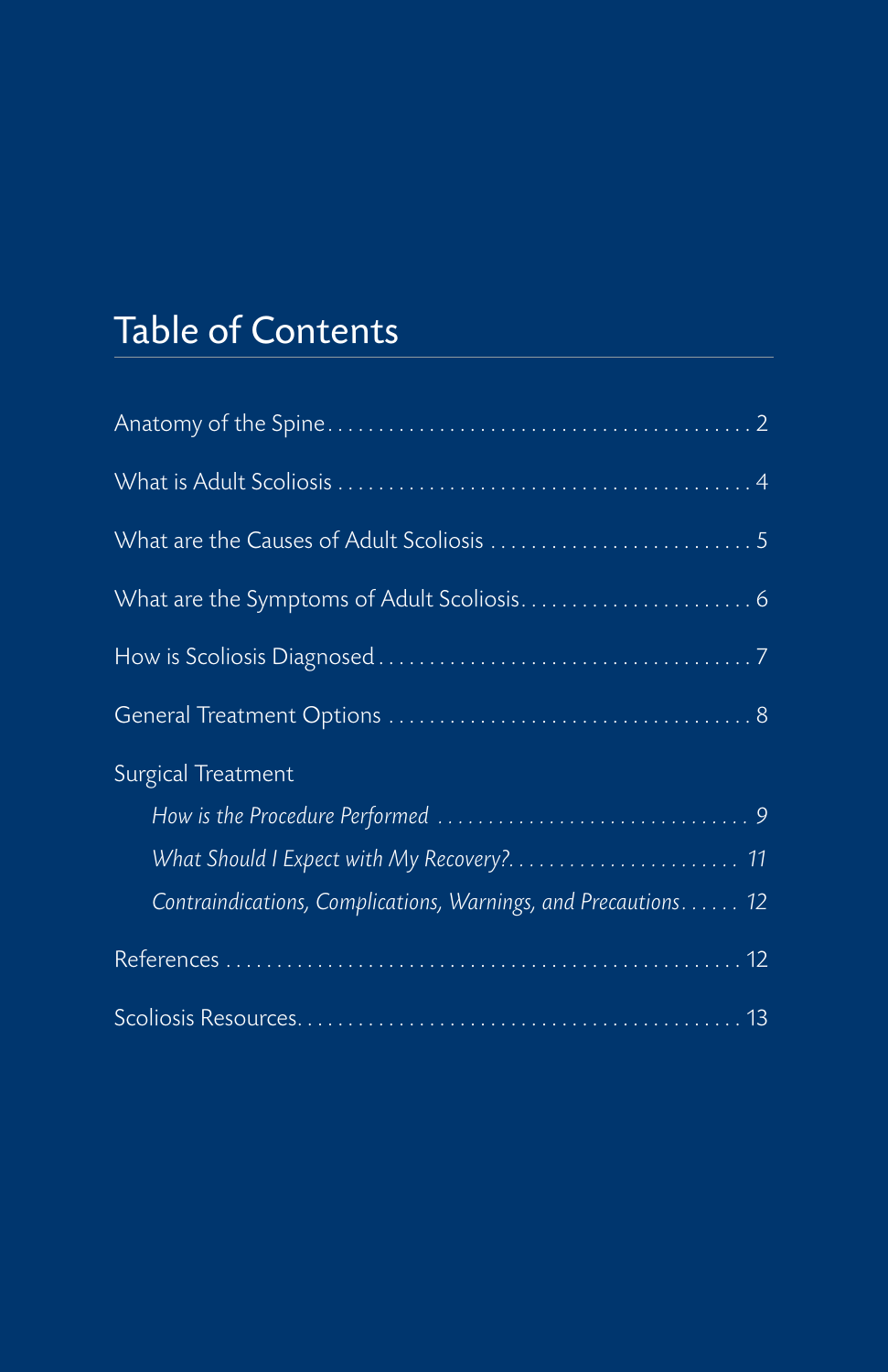# Table of Contents

| Surgical Treatment                                             |
|----------------------------------------------------------------|
|                                                                |
|                                                                |
| Contraindications, Complications, Warnings, and Precautions 12 |
|                                                                |
|                                                                |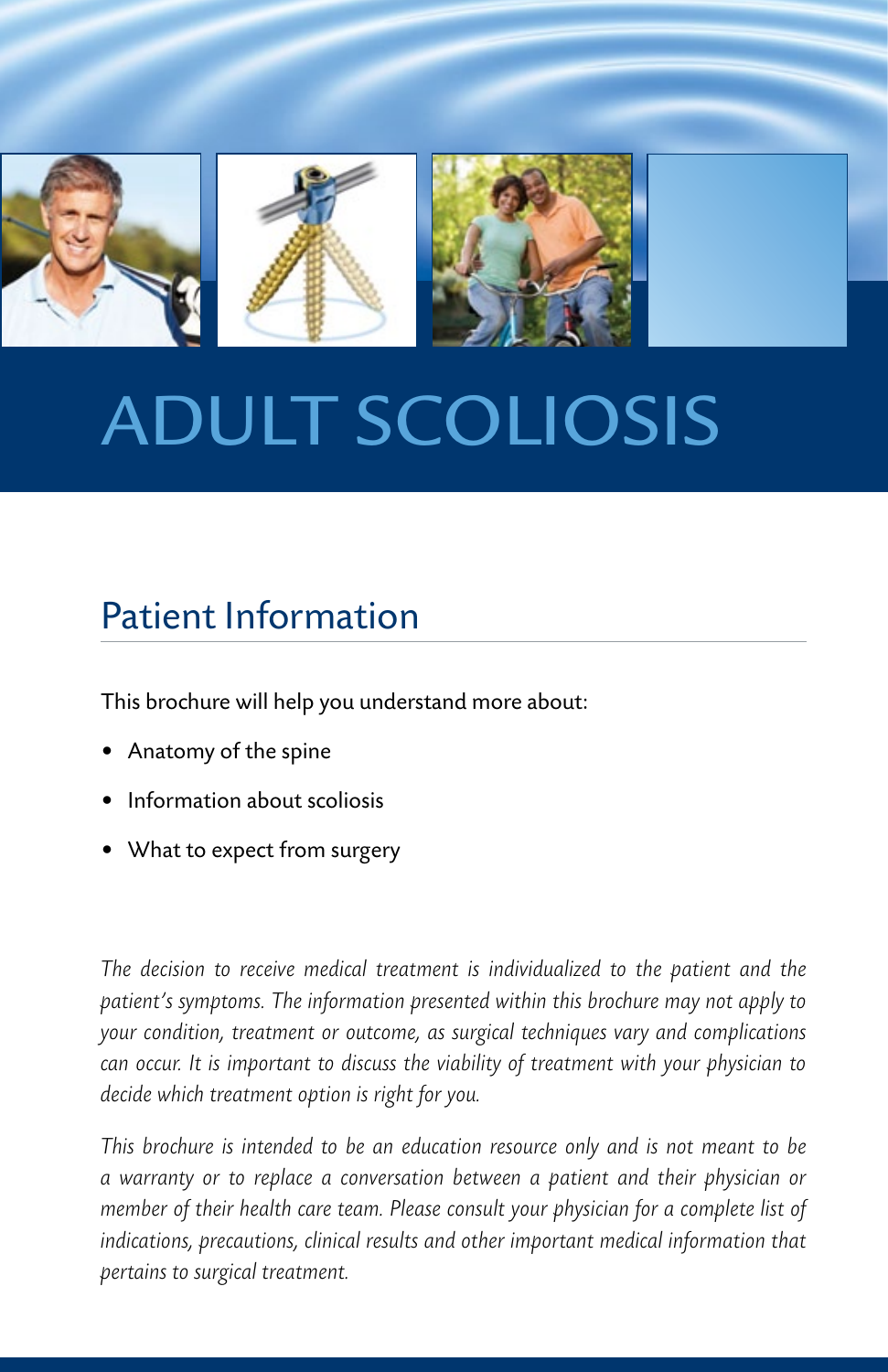

# Adult Scoliosis

## Patient Information

This brochure will help you understand more about:

- Anatomy of the spine
- Information about scoliosis
- What to expect from surgery

*The decision to receive medical treatment is individualized to the patient and the patient's symptoms. The information presented within this brochure may not apply to your condition, treatment or outcome, as surgical techniques vary and complications can occur. It is important to discuss the viability of treatment with your physician to decide which treatment option is right for you.*

*This brochure is intended to be an education resource only and is not meant to be a warranty or to replace a conversation between a patient and their physician or member of their health care team. Please consult your physician for a complete list of indications, precautions, clinical results and other important medical information that pertains to surgical treatment.*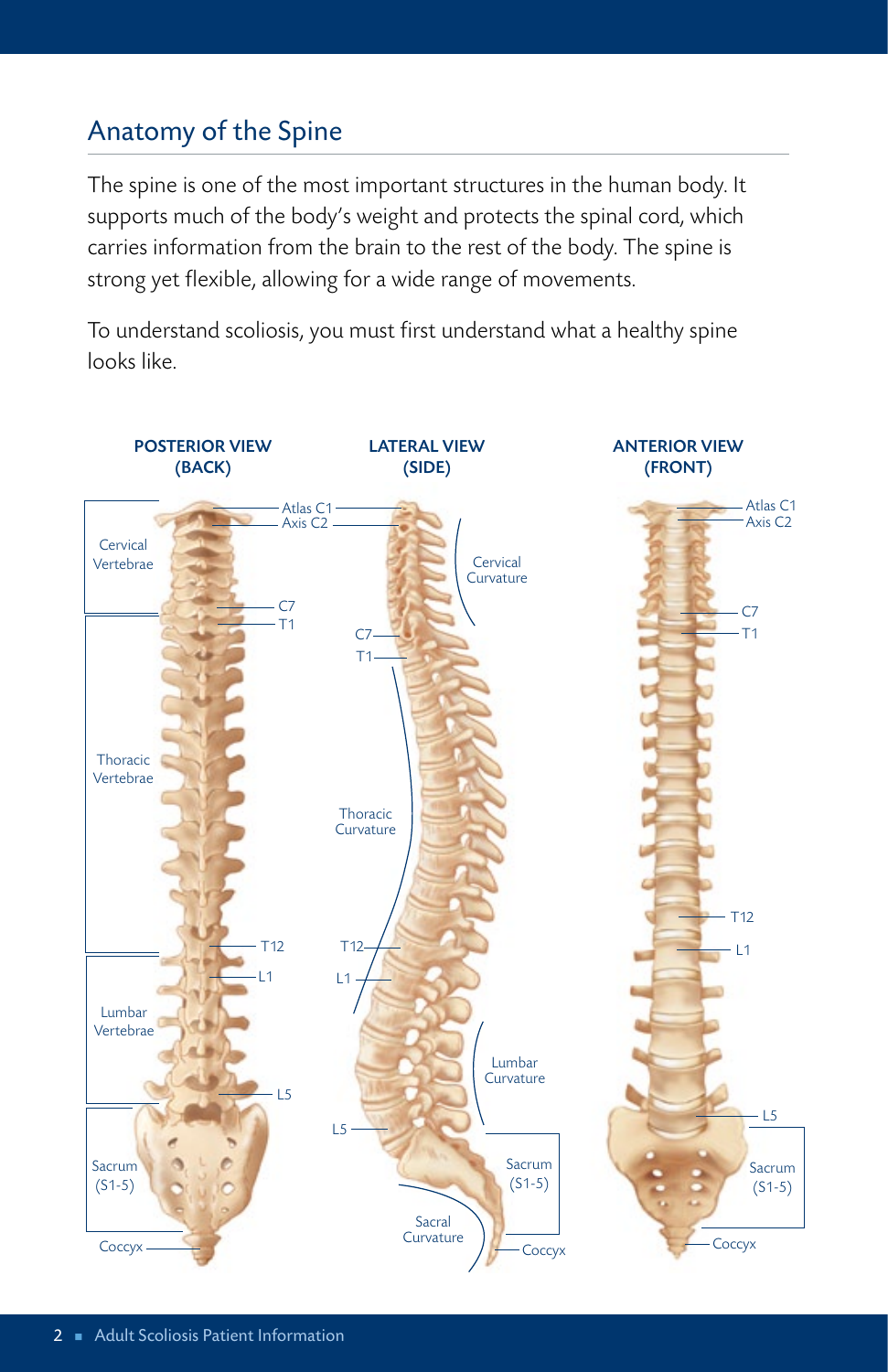## Anatomy of the Spine

The spine is one of the most important structures in the human body. It supports much of the body's weight and protects the spinal cord, which carries information from the brain to the rest of the body. The spine is strong yet flexible, allowing for a wide range of movements.

To understand scoliosis, you must first understand what a healthy spine looks like.

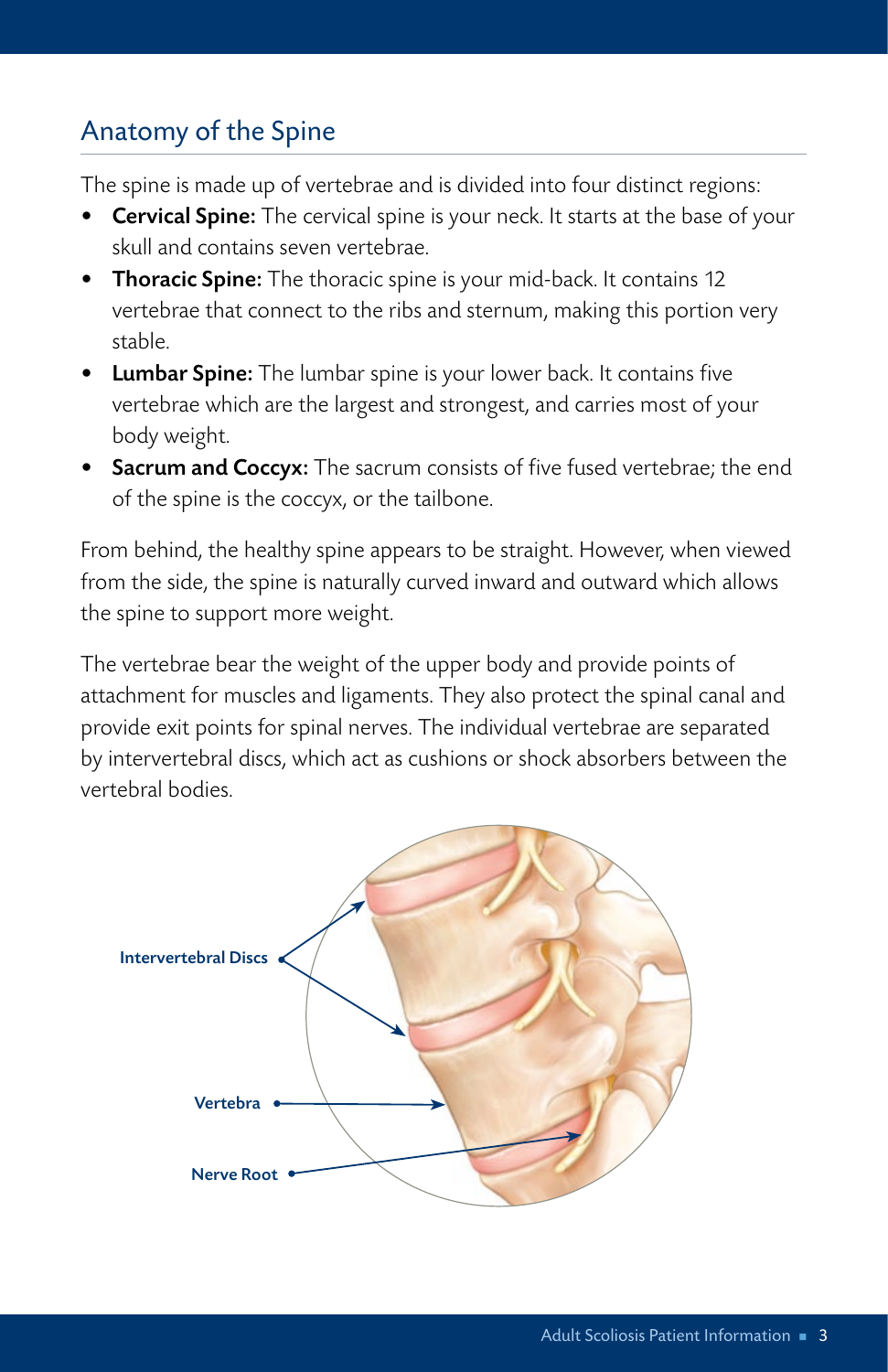## Anatomy of the Spine

The spine is made up of vertebrae and is divided into four distinct regions:

- Cervical Spine: The cervical spine is your neck. It starts at the base of your skull and contains seven vertebrae.
- Thoracic Spine: The thoracic spine is your mid-back. It contains 12 vertebrae that connect to the ribs and sternum, making this portion very stable.
- Lumbar Spine: The lumbar spine is your lower back. It contains five vertebrae which are the largest and strongest, and carries most of your body weight.
- Sacrum and Coccyx: The sacrum consists of five fused vertebrae; the end of the spine is the coccyx, or the tailbone.

From behind, the healthy spine appears to be straight. However, when viewed from the side, the spine is naturally curved inward and outward which allows the spine to support more weight.

The vertebrae bear the weight of the upper body and provide points of attachment for muscles and ligaments. They also protect the spinal canal and provide exit points for spinal nerves. The individual vertebrae are separated by intervertebral discs, which act as cushions or shock absorbers between the vertebral bodies.

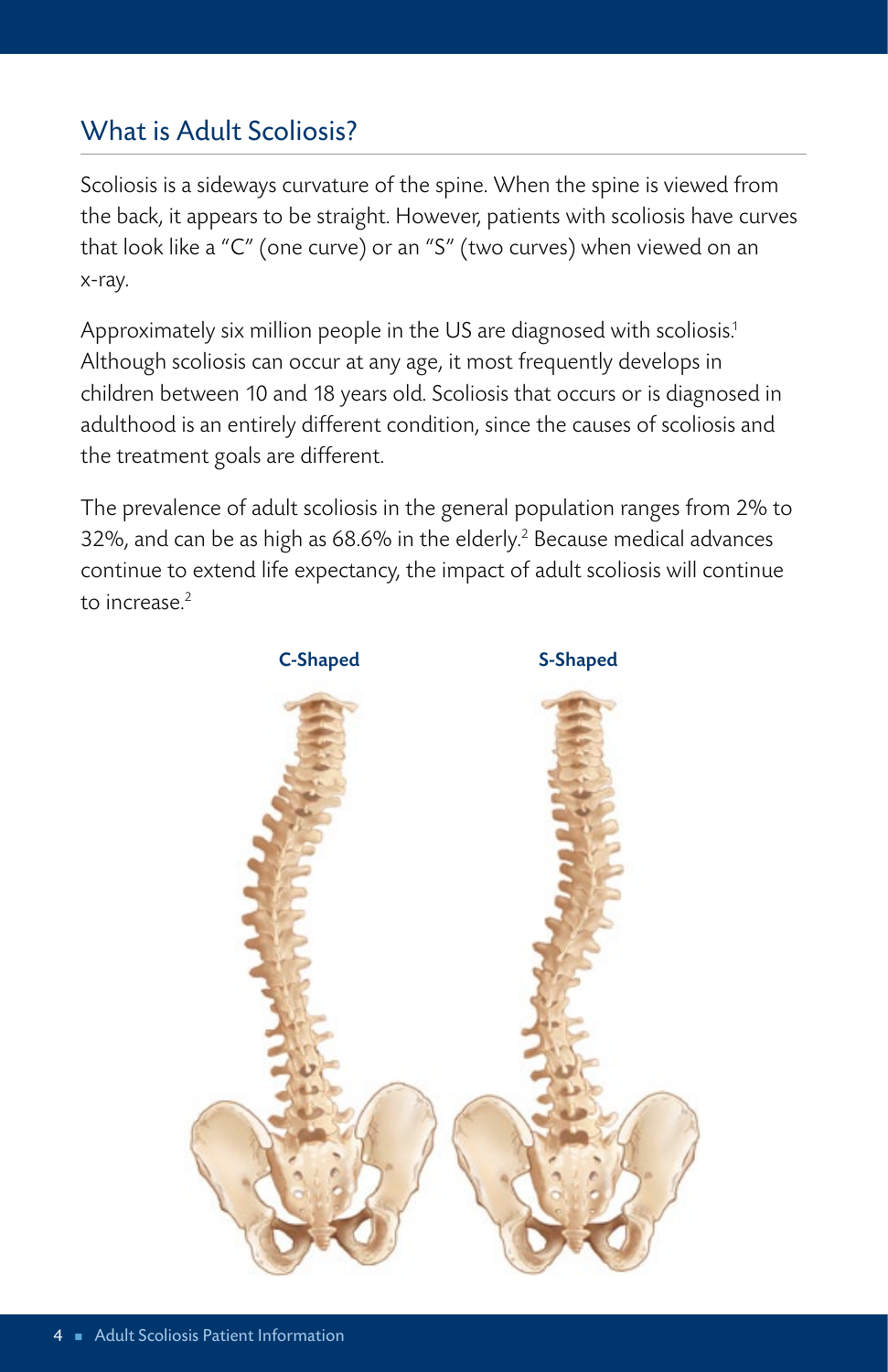## What is Adult Scoliosis?

Scoliosis is a sideways curvature of the spine. When the spine is viewed from the back, it appears to be straight. However, patients with scoliosis have curves that look like a "C" (one curve) or an "S" (two curves) when viewed on an x-ray.

Approximately six million people in the US are diagnosed with scoliosis. 1 Although scoliosis can occur at any age, it most frequently develops in children between 10 and 18 years old. Scoliosis that occurs or is diagnosed in adulthood is an entirely different condition, since the causes of scoliosis and the treatment goals are different.

The prevalence of adult scoliosis in the general population ranges from 2% to 32%, and can be as high as 68.6% in the elderly. 2 Because medical advances continue to extend life expectancy, the impact of adult scoliosis will continue to increase. 2

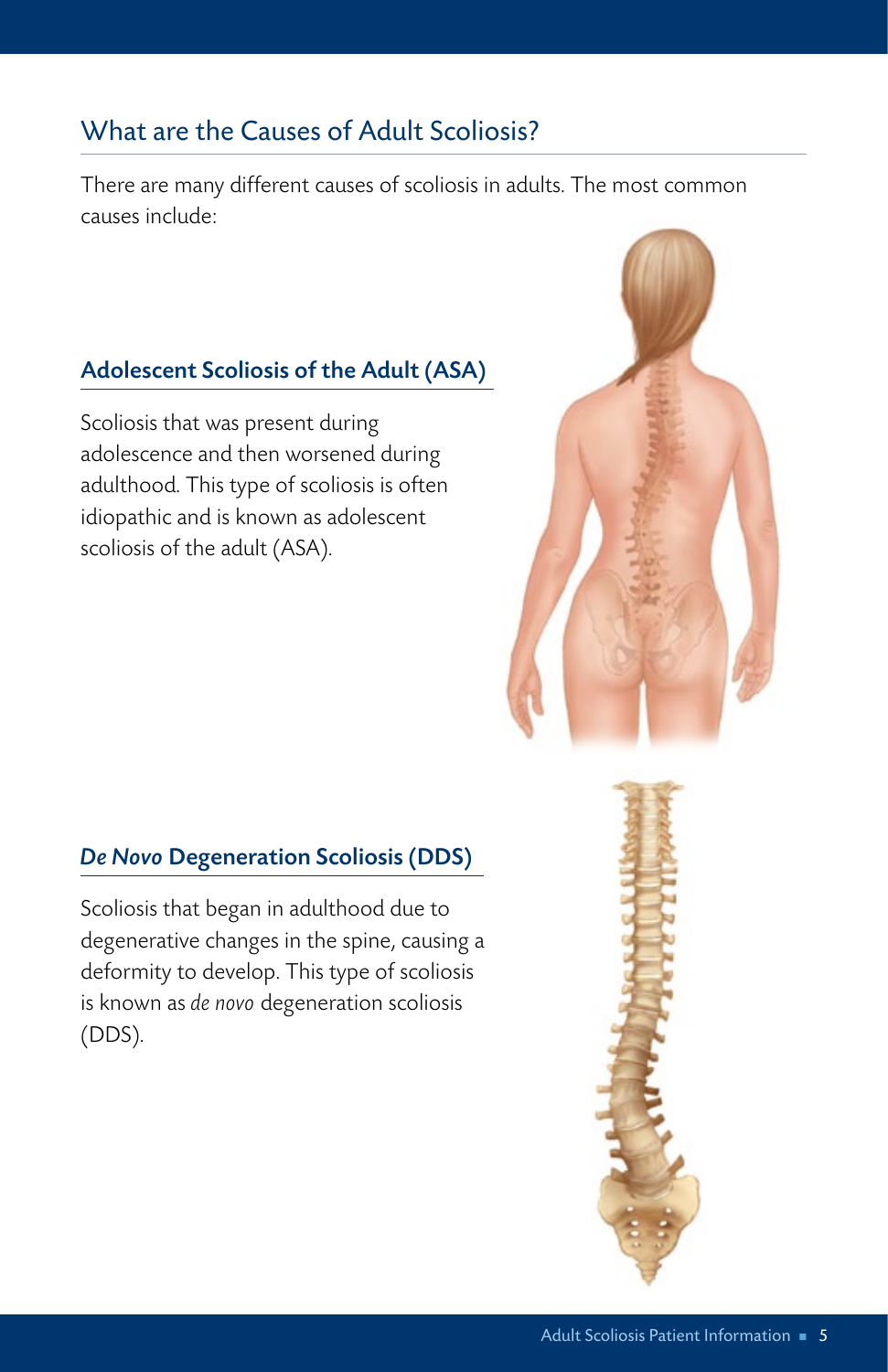## What are the Causes of Adult Scoliosis?

There are many different causes of scoliosis in adults. The most common causes include:

#### Adolescent Scoliosis of the Adult (ASA)

Scoliosis that was present during adolescence and then worsened during adulthood. This type of scoliosis is often idiopathic and is known as adolescent scoliosis of the adult (ASA).



#### *De Novo* Degeneration Scoliosis (DDS)

Scoliosis that began in adulthood due to degenerative changes in the spine, causing a deformity to develop. This type of scoliosis is known as *de novo* degeneration scoliosis (DDS).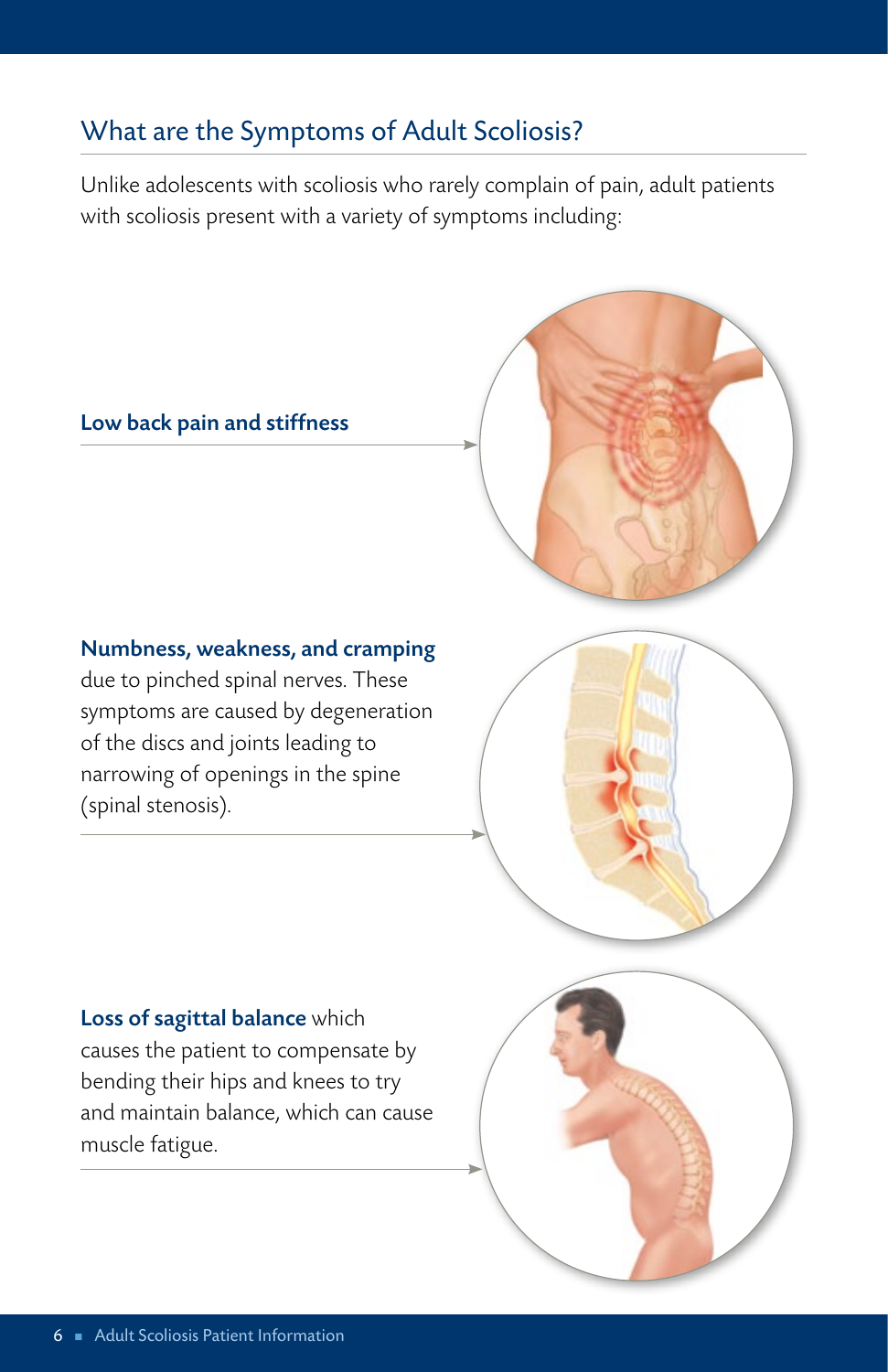## What are the Symptoms of Adult Scoliosis?

Unlike adolescents with scoliosis who rarely complain of pain, adult patients with scoliosis present with a variety of symptoms including:

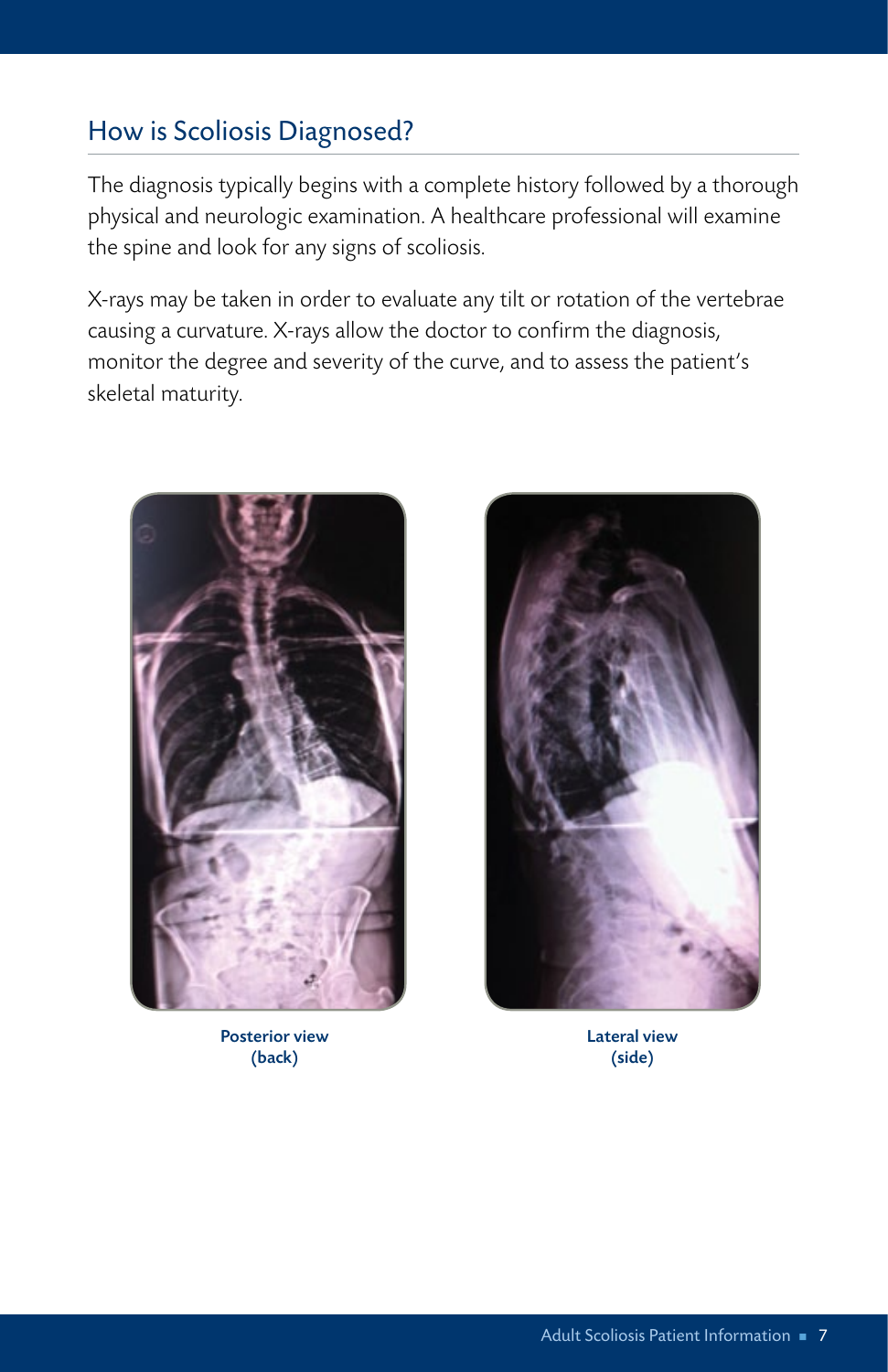## How is Scoliosis Diagnosed?

The diagnosis typically begins with a complete history followed by a thorough physical and neurologic examination. A healthcare professional will examine the spine and look for any signs of scoliosis.

X-rays may be taken in order to evaluate any tilt or rotation of the vertebrae causing a curvature. X-rays allow the doctor to confirm the diagnosis, monitor the degree and severity of the curve, and to assess the patient's skeletal maturity.



Posterior view (back)



Lateral view (side)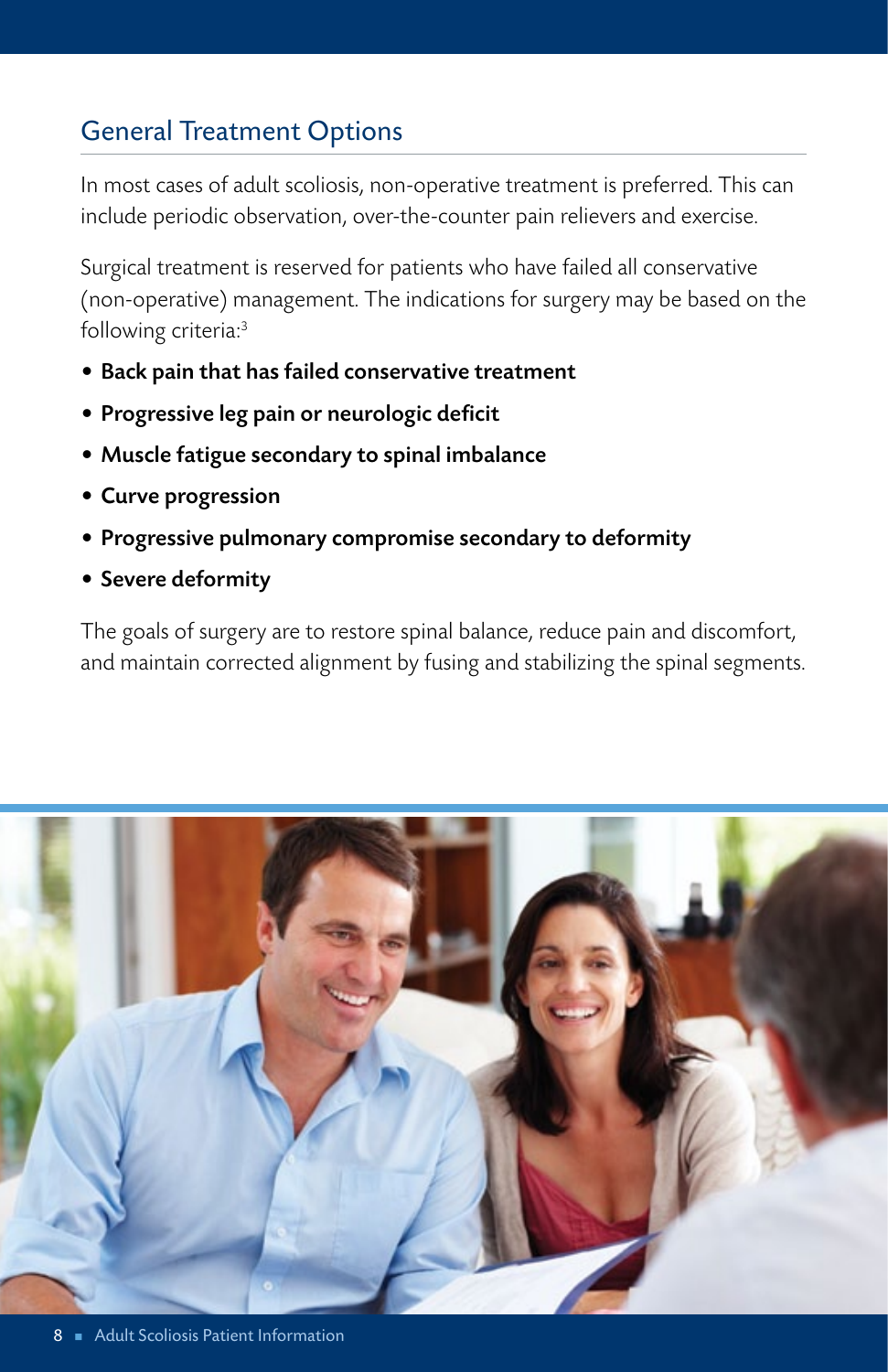## General Treatment Options

In most cases of adult scoliosis, non-operative treatment is preferred. This can include periodic observation, over-the-counter pain relievers and exercise.

Surgical treatment is reserved for patients who have failed all conservative (non-operative) management. The indications for surgery may be based on the following criteria:3

- Back pain that has failed conservative treatment
- • Progressive leg pain or neurologic deficit
- • Muscle fatigue secondary to spinal imbalance
- Curve progression
- Progressive pulmonary compromise secondary to deformity
- Severe deformity

The goals of surgery are to restore spinal balance, reduce pain and discomfort, and maintain corrected alignment by fusing and stabilizing the spinal segments.

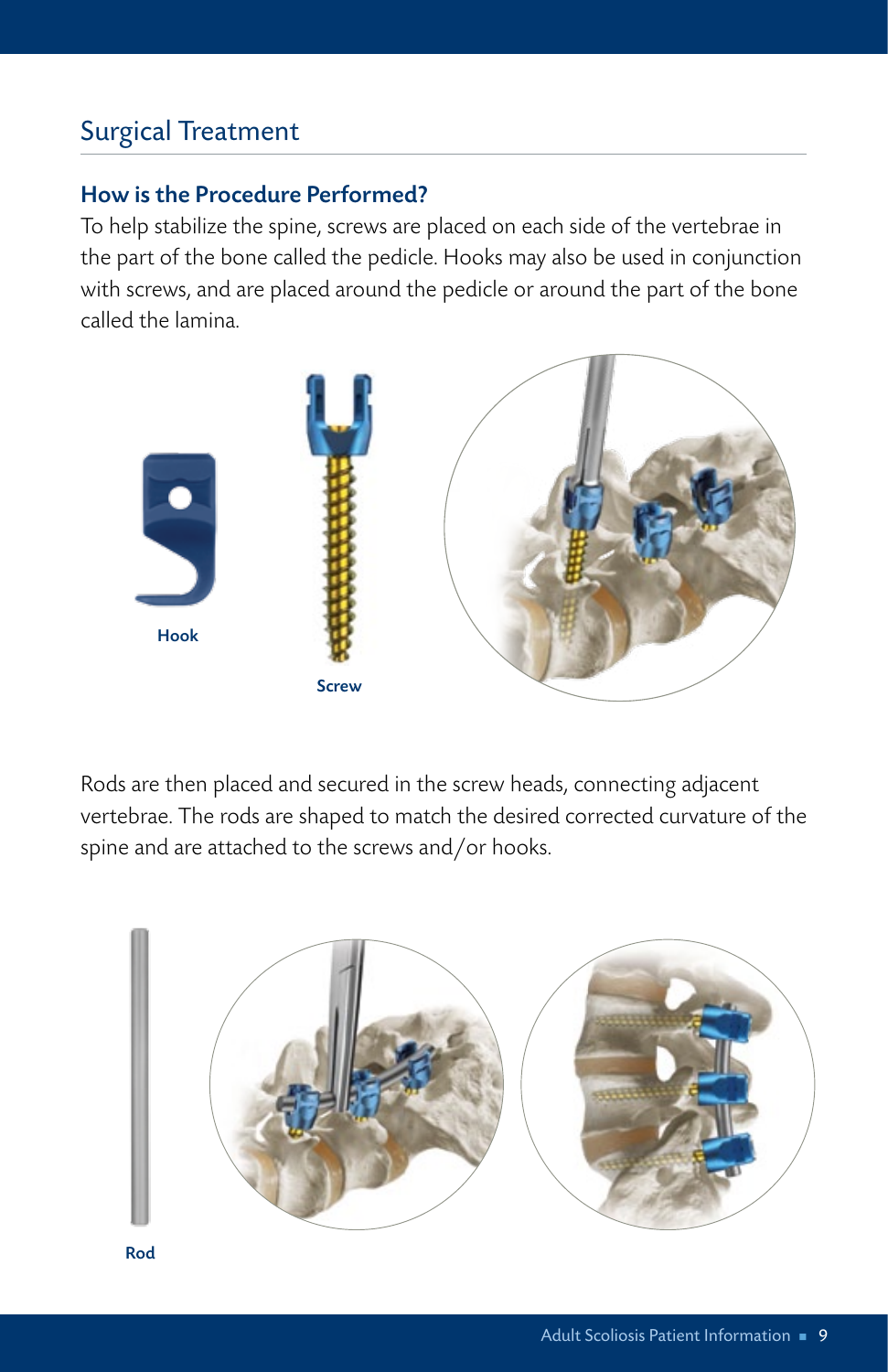## Surgical Treatment

#### How is the Procedure Performed?

To help stabilize the spine, screws are placed on each side of the vertebrae in the part of the bone called the pedicle. Hooks may also be used in conjunction with screws, and are placed around the pedicle or around the part of the bone called the lamina.



Rods are then placed and secured in the screw heads, connecting adjacent vertebrae. The rods are shaped to match the desired corrected curvature of the spine and are attached to the screws and/or hooks.



Rod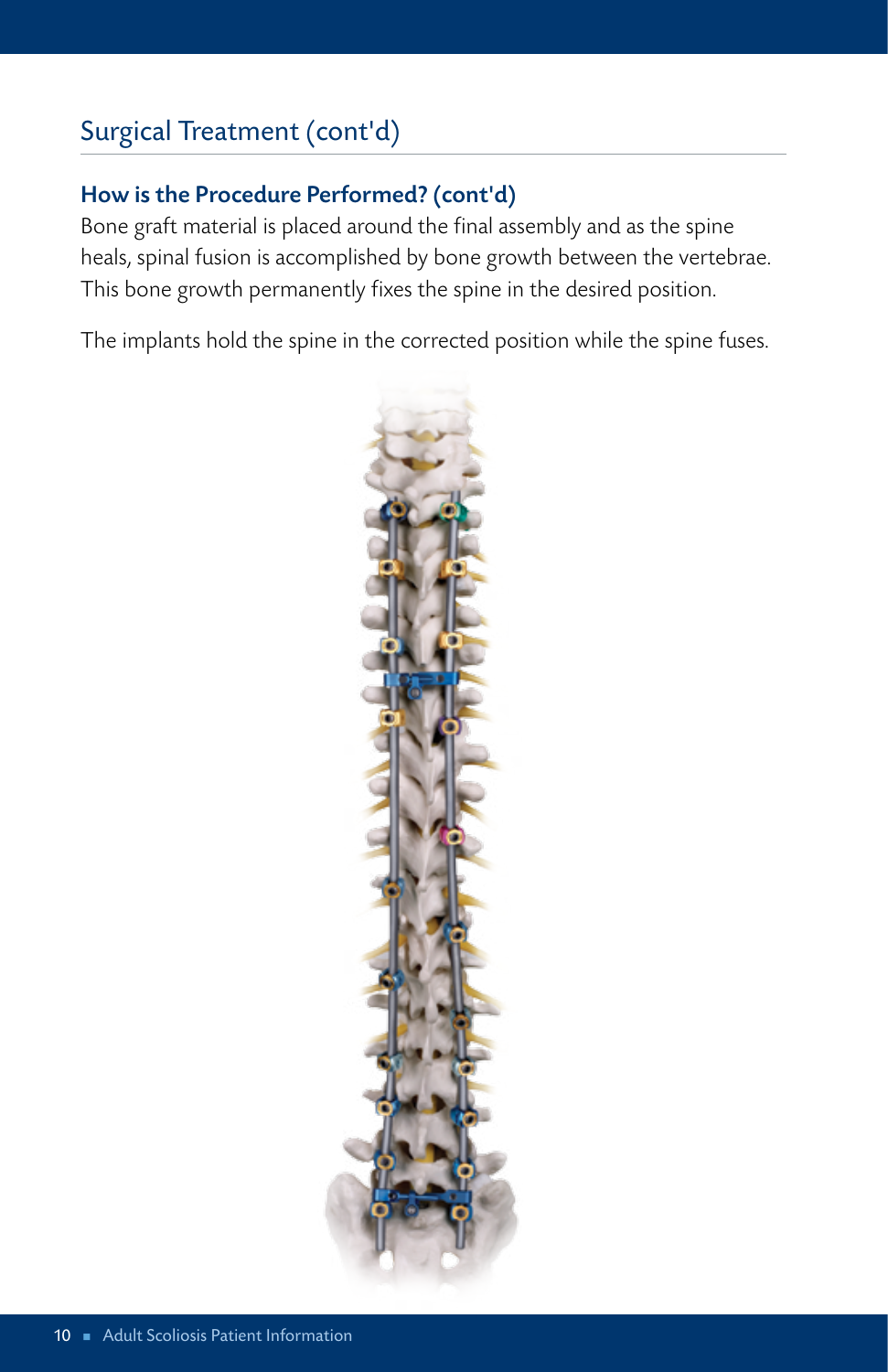## Surgical Treatment (cont'd)

### How is the Procedure Performed? (cont'd)

Bone graft material is placed around the final assembly and as the spine heals, spinal fusion is accomplished by bone growth between the vertebrae. This bone growth permanently fixes the spine in the desired position.

The implants hold the spine in the corrected position while the spine fuses.

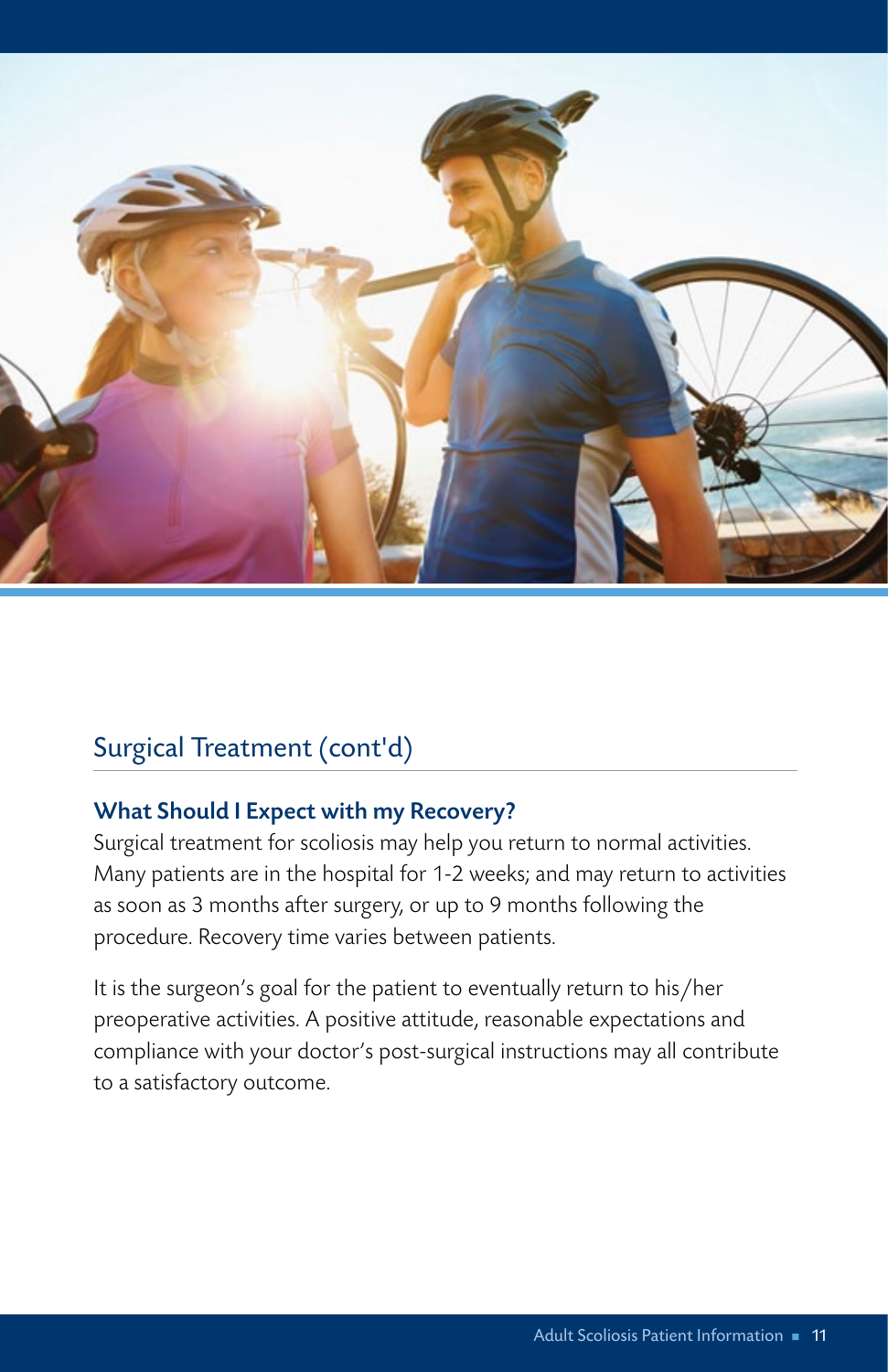

### Surgical Treatment (cont'd)

#### What Should I Expect with my Recovery?

Surgical treatment for scoliosis may help you return to normal activities. Many patients are in the hospital for 1-2 weeks; and may return to activities as soon as 3 months after surgery, or up to 9 months following the procedure. Recovery time varies between patients.

It is the surgeon's goal for the patient to eventually return to his/her preoperative activities. A positive attitude, reasonable expectations and compliance with your doctor's post-surgical instructions may all contribute to a satisfactory outcome.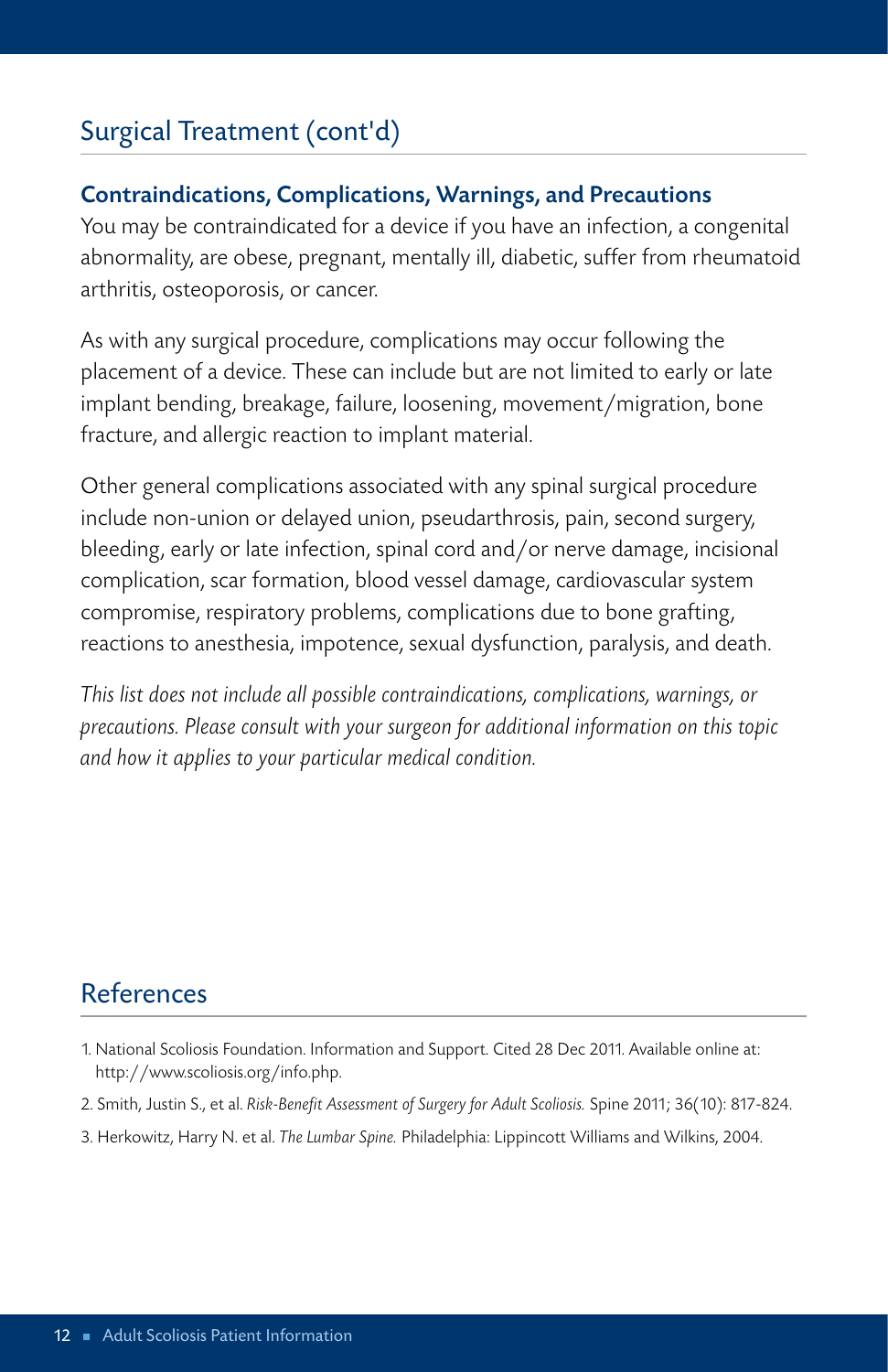## Surgical Treatment (cont'd)

#### Contraindications, Complications, Warnings, and Precautions

You may be contraindicated for a device if you have an infection, a congenital abnormality, are obese, pregnant, mentally ill, diabetic, suffer from rheumatoid arthritis, osteoporosis, or cancer.

As with any surgical procedure, complications may occur following the placement of a device. These can include but are not limited to early or late implant bending, breakage, failure, loosening, movement/migration, bone fracture, and allergic reaction to implant material.

Other general complications associated with any spinal surgical procedure include non-union or delayed union, pseudarthrosis, pain, second surgery, bleeding, early or late infection, spinal cord and/or nerve damage, incisional complication, scar formation, blood vessel damage, cardiovascular system compromise, respiratory problems, complications due to bone grafting, reactions to anesthesia, impotence, sexual dysfunction, paralysis, and death.

*This list does not include all possible contraindications, complications, warnings, or precautions. Please consult with your surgeon for additional information on this topic and how it applies to your particular medical condition.*

## References

- 1. National Scoliosis Foundation. Information and Support. Cited 28 Dec 2011. Available online at: http://www.scoliosis.org/info.php.
- 2. Smith, Justin S., et al. *Risk-Benefit Assessment of Surgery for Adult Scoliosis.* Spine 2011; 36(10): 817-824.
- 3. Herkowitz, Harry N. et al. *The Lumbar Spine.* Philadelphia: Lippincott Williams and Wilkins, 2004.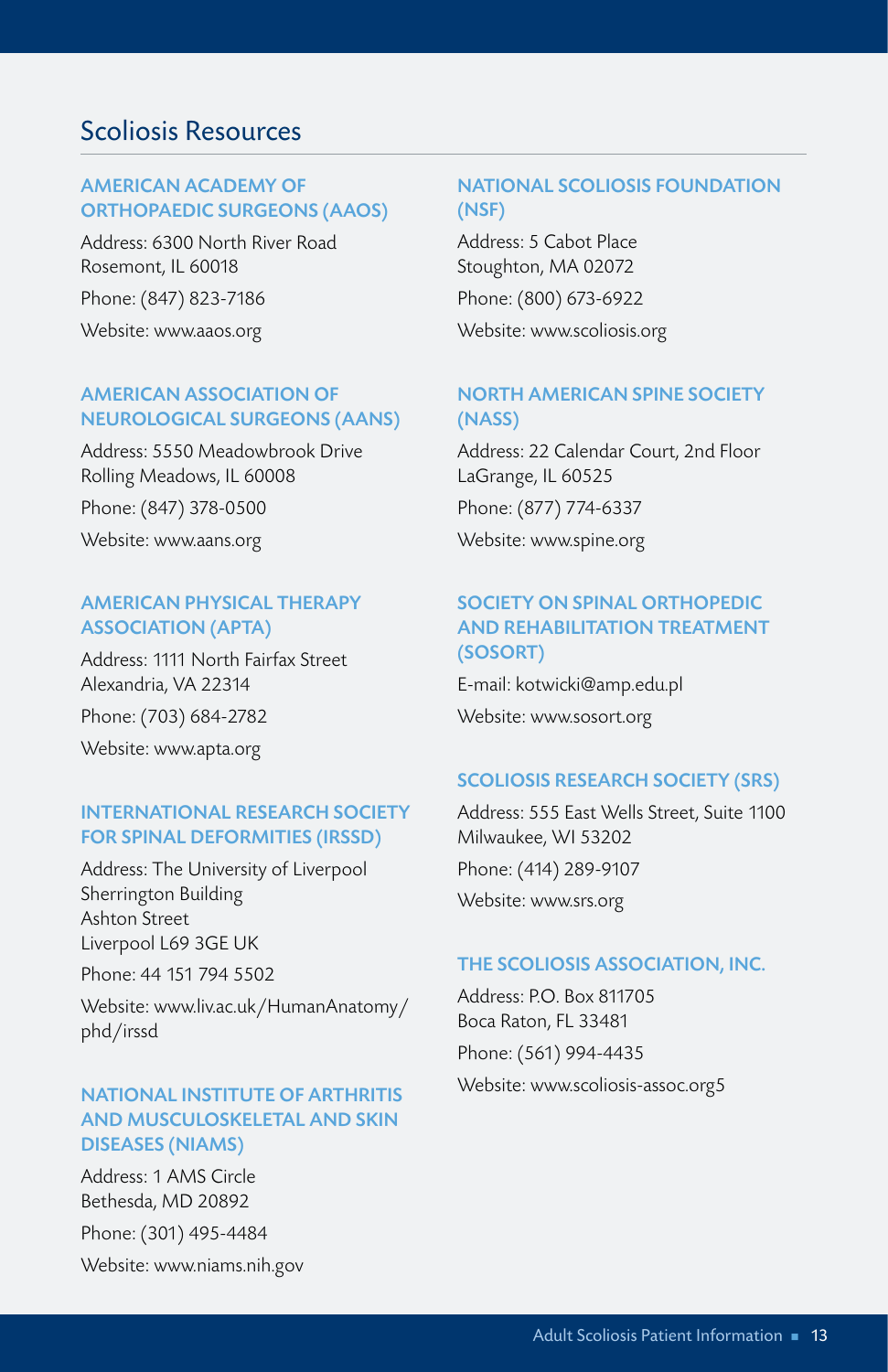#### Scoliosis Resources

#### AMERICAN ACADEMY OF ORTHOPAEDIC SURGEONS (AAOS)

Address: 6300 North River Road Rosemont, IL 60018 Phone: (847) 823-7186 Website: www.aaos.org

#### AMERICAN ASSOCIATION OF NEUROLOGICAL SURGEONS (AANS)

Address: 5550 Meadowbrook Drive Rolling Meadows, IL 60008 Phone: (847) 378-0500 Website: www.aans.org

#### AMERICAN PHYSICAL THERAPY ASSOCIATION (APTA)

Address: 1111 North Fairfax Street Alexandria, VA 22314 Phone: (703) 684-2782 Website: www.apta.org

#### INTERNATIONAL RESEARCH SOCIETY FOR SPINAL DEFORMITIES (IRSSD)

Address: The University of Liverpool Sherrington Building Ashton Street Liverpool L69 3GE UK

Phone: 44 151 794 5502

Website: www.liv.ac.uk/HumanAnatomy/ phd/irssd

#### NATIONAL INSTITUTE OF ARTHRITIS AND MUSCULOSKELETAL AND SKIN DISEASES (NIAMS)

Address: 1 AMS Circle Bethesda, MD 20892 Phone: (301) 495-4484 Website: www.niams.nih.gov

#### NATIONAL SCOLIOSIS FOUNDATION (NSF)

Address: 5 Cabot Place Stoughton, MA 02072 Phone: (800) 673-6922 Website: www.scoliosis.org

#### NORTH AMERICAN SPINE SOCIETY (NASS)

Address: 22 Calendar Court, 2nd Floor LaGrange, IL 60525 Phone: (877) 774-6337 Website: www.spine.org

#### SOCIETY ON SPINAL ORTHOPEDIC AND REHABILITATION TREATMENT (SOSORT)

E-mail: kotwicki@amp.edu.pl Website: www.sosort.org

#### SCOLIOSIS RESEARCH SOCIETY (SRS)

Address: 555 East Wells Street, Suite 1100 Milwaukee, WI 53202 Phone: (414) 289-9107 Website: www.srs.org

#### THE SCOLIOSIS ASSOCIATION, INC.

Address: P.O. Box 811705 Boca Raton, FL 33481 Phone: (561) 994-4435 Website: www.scoliosis-assoc.org5